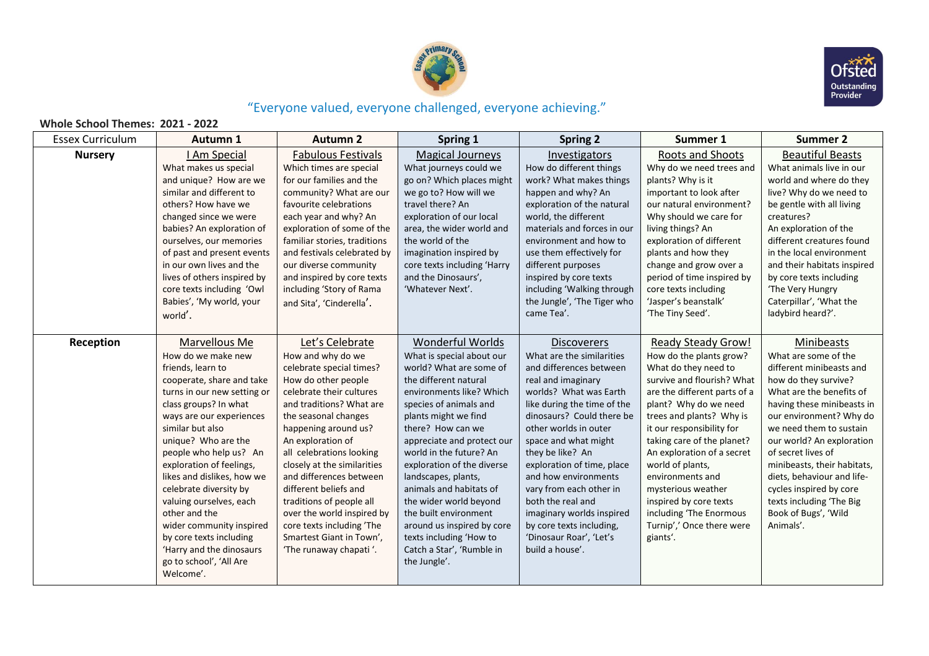



## "Everyone valued, everyone challenged, everyone achieving."

## **Whole School Themes: 2021 - 2022**

| <b>Essex Curriculum</b> | Autumn 1                                          | <b>Autumn 2</b>                                      | Spring 1                                          | <b>Spring 2</b>                                 | Summer 1                                     | <b>Summer 2</b>                                     |
|-------------------------|---------------------------------------------------|------------------------------------------------------|---------------------------------------------------|-------------------------------------------------|----------------------------------------------|-----------------------------------------------------|
| <b>Nursery</b>          | I Am Special<br>What makes us special             | <b>Fabulous Festivals</b><br>Which times are special | <b>Magical Journeys</b><br>What journeys could we | Investigators<br>How do different things        | Roots and Shoots<br>Why do we need trees and | <b>Beautiful Beasts</b><br>What animals live in our |
|                         | and unique? How are we                            | for our families and the                             | go on? Which places might                         | work? What makes things                         | plants? Why is it                            | world and where do they                             |
|                         | similar and different to                          | community? What are our                              | we go to? How will we                             | happen and why? An                              | important to look after                      | live? Why do we need to                             |
|                         | others? How have we                               | favourite celebrations                               | travel there? An                                  | exploration of the natural                      | our natural environment?                     | be gentle with all living                           |
|                         | changed since we were                             | each year and why? An                                | exploration of our local                          | world, the different                            | Why should we care for                       | creatures?                                          |
|                         | babies? An exploration of                         | exploration of some of the                           | area, the wider world and                         | materials and forces in our                     | living things? An                            | An exploration of the                               |
|                         | ourselves, our memories                           | familiar stories, traditions                         | the world of the                                  | environment and how to                          | exploration of different                     | different creatures found                           |
|                         | of past and present events                        | and festivals celebrated by                          | imagination inspired by                           | use them effectively for                        | plants and how they                          | in the local environment                            |
|                         | in our own lives and the                          | our diverse community                                | core texts including 'Harry                       | different purposes                              | change and grow over a                       | and their habitats inspired                         |
|                         | lives of others inspired by                       | and inspired by core texts                           | and the Dinosaurs',                               | inspired by core texts                          | period of time inspired by                   | by core texts including                             |
|                         | core texts including 'Owl                         | including 'Story of Rama                             | 'Whatever Next'.                                  | including 'Walking through                      | core texts including                         | 'The Very Hungry                                    |
|                         | Babies', 'My world, your                          | and Sita', 'Cinderella'.                             |                                                   | the Jungle', 'The Tiger who                     | 'Jasper's beanstalk'                         | Caterpillar', 'What the                             |
|                         | world'.                                           |                                                      |                                                   | came Tea'.                                      | 'The Tiny Seed'.                             | ladybird heard?'.                                   |
|                         |                                                   |                                                      |                                                   |                                                 |                                              |                                                     |
| Reception               | Marvellous Me                                     | Let's Celebrate                                      | <b>Wonderful Worlds</b>                           | <b>Discoverers</b>                              | <b>Ready Steady Grow!</b>                    | Minibeasts                                          |
|                         | How do we make new                                | How and why do we                                    | What is special about our                         | What are the similarities                       | How do the plants grow?                      | What are some of the                                |
|                         | friends, learn to                                 | celebrate special times?                             | world? What are some of                           | and differences between                         | What do they need to                         | different minibeasts and                            |
|                         | cooperate, share and take                         | How do other people                                  | the different natural                             | real and imaginary                              | survive and flourish? What                   | how do they survive?                                |
|                         | turns in our new setting or                       | celebrate their cultures                             | environments like? Which                          | worlds? What was Earth                          | are the different parts of a                 | What are the benefits of                            |
|                         | class groups? In what                             | and traditions? What are                             | species of animals and                            | like during the time of the                     | plant? Why do we need                        | having these minibeasts in                          |
|                         | ways are our experiences                          | the seasonal changes                                 | plants might we find                              | dinosaurs? Could there be                       | trees and plants? Why is                     | our environment? Why do                             |
|                         | similar but also                                  | happening around us?                                 | there? How can we                                 | other worlds in outer                           | it our responsibility for                    | we need them to sustain                             |
|                         | unique? Who are the                               | An exploration of                                    | appreciate and protect our                        | space and what might                            | taking care of the planet?                   | our world? An exploration                           |
|                         | people who help us? An                            | all celebrations looking                             | world in the future? An                           | they be like? An                                | An exploration of a secret                   | of secret lives of                                  |
|                         | exploration of feelings,                          | closely at the similarities                          | exploration of the diverse                        | exploration of time, place                      | world of plants,                             | minibeasts, their habitats,                         |
|                         | likes and dislikes, how we                        | and differences between<br>different beliefs and     | landscapes, plants,<br>animals and habitats of    | and how environments<br>vary from each other in | environments and                             | diets, behaviour and life-                          |
|                         | celebrate diversity by<br>valuing ourselves, each | traditions of people all                             | the wider world beyond                            | both the real and                               | mysterious weather<br>inspired by core texts | cycles inspired by core<br>texts including 'The Big |
|                         | other and the                                     | over the world inspired by                           | the built environment                             | imaginary worlds inspired                       | including 'The Enormous                      | Book of Bugs', 'Wild                                |
|                         | wider community inspired                          | core texts including 'The                            | around us inspired by core                        | by core texts including,                        | Turnip',' Once there were                    | Animals'.                                           |
|                         | by core texts including                           | Smartest Giant in Town',                             | texts including 'How to                           | 'Dinosaur Roar', 'Let's                         | giants'.                                     |                                                     |
|                         | 'Harry and the dinosaurs                          | 'The runaway chapati'.                               | Catch a Star', 'Rumble in                         | build a house'.                                 |                                              |                                                     |
|                         | go to school', 'All Are                           |                                                      | the Jungle'.                                      |                                                 |                                              |                                                     |
|                         | Welcome'.                                         |                                                      |                                                   |                                                 |                                              |                                                     |
|                         |                                                   |                                                      |                                                   |                                                 |                                              |                                                     |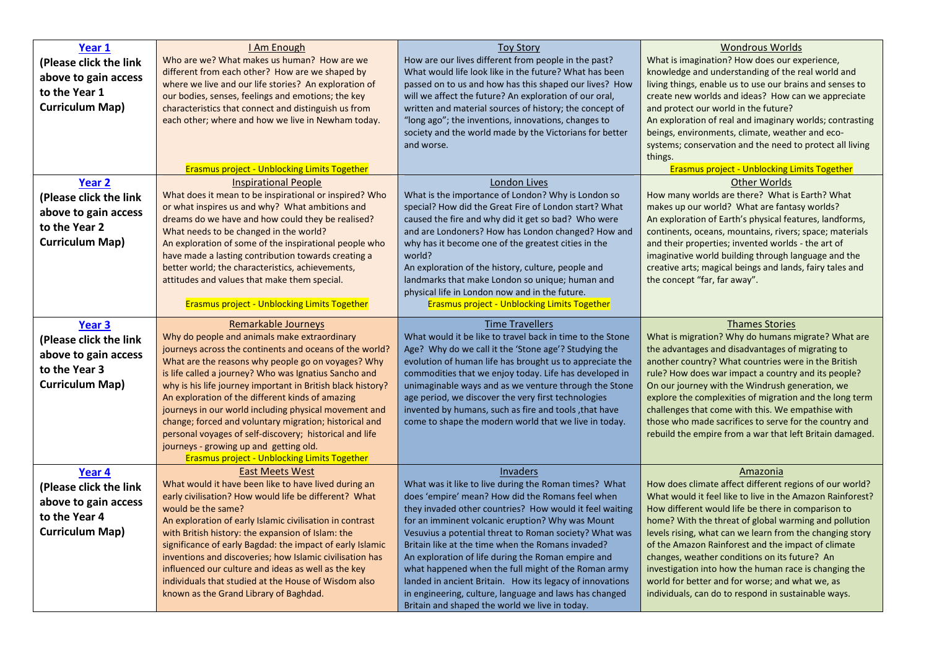| Year 1<br>(Please click the link<br>above to gain access<br>to the Year 1<br><b>Curriculum Map)</b>            | I Am Enough<br>Who are we? What makes us human? How are we<br>different from each other? How are we shaped by<br>where we live and our life stories? An exploration of<br>our bodies, senses, feelings and emotions; the key<br>characteristics that connect and distinguish us from<br>each other; where and how we live in Newham today.<br><b>Erasmus project - Unblocking Limits Together</b>                                                                                                                                                                                                                                               | <b>Toy Story</b><br>How are our lives different from people in the past?<br>What would life look like in the future? What has been<br>passed on to us and how has this shaped our lives? How<br>will we affect the future? An exploration of our oral,<br>written and material sources of history; the concept of<br>"long ago"; the inventions, innovations, changes to<br>society and the world made by the Victorians for better<br>and worse.                                                                                                                                                                                        | <b>Wondrous Worlds</b><br>What is imagination? How does our experience,<br>knowledge and understanding of the real world and<br>living things, enable us to use our brains and senses to<br>create new worlds and ideas? How can we appreciate<br>and protect our world in the future?<br>An exploration of real and imaginary worlds; contrasting<br>beings, environments, climate, weather and eco-<br>systems; conservation and the need to protect all living<br>things.<br><b>Erasmus project - Unblocking Limits Together</b>                                                   |
|----------------------------------------------------------------------------------------------------------------|-------------------------------------------------------------------------------------------------------------------------------------------------------------------------------------------------------------------------------------------------------------------------------------------------------------------------------------------------------------------------------------------------------------------------------------------------------------------------------------------------------------------------------------------------------------------------------------------------------------------------------------------------|------------------------------------------------------------------------------------------------------------------------------------------------------------------------------------------------------------------------------------------------------------------------------------------------------------------------------------------------------------------------------------------------------------------------------------------------------------------------------------------------------------------------------------------------------------------------------------------------------------------------------------------|---------------------------------------------------------------------------------------------------------------------------------------------------------------------------------------------------------------------------------------------------------------------------------------------------------------------------------------------------------------------------------------------------------------------------------------------------------------------------------------------------------------------------------------------------------------------------------------|
| Year <sub>2</sub><br>(Please click the link<br>above to gain access<br>to the Year 2<br><b>Curriculum Map)</b> | <b>Inspirational People</b><br>What does it mean to be inspirational or inspired? Who<br>or what inspires us and why? What ambitions and<br>dreams do we have and how could they be realised?<br>What needs to be changed in the world?<br>An exploration of some of the inspirational people who<br>have made a lasting contribution towards creating a<br>better world; the characteristics, achievements,<br>attitudes and values that make them special.<br><b>Erasmus project - Unblocking Limits Together</b>                                                                                                                             | London Lives<br>What is the importance of London? Why is London so<br>special? How did the Great Fire of London start? What<br>caused the fire and why did it get so bad? Who were<br>and are Londoners? How has London changed? How and<br>why has it become one of the greatest cities in the<br>world?<br>An exploration of the history, culture, people and<br>landmarks that make London so unique; human and<br>physical life in London now and in the future.<br><b>Erasmus project - Unblocking Limits Together</b>                                                                                                              | <b>Other Worlds</b><br>How many worlds are there? What is Earth? What<br>makes up our world? What are fantasy worlds?<br>An exploration of Earth's physical features, landforms,<br>continents, oceans, mountains, rivers; space; materials<br>and their properties; invented worlds - the art of<br>imaginative world building through language and the<br>creative arts; magical beings and lands, fairy tales and<br>the concept "far, far away".                                                                                                                                  |
| Year 3<br>(Please click the link<br>above to gain access<br>to the Year 3<br><b>Curriculum Map)</b>            | Remarkable Journeys<br>Why do people and animals make extraordinary<br>journeys across the continents and oceans of the world?<br>What are the reasons why people go on voyages? Why<br>is life called a journey? Who was Ignatius Sancho and<br>why is his life journey important in British black history?<br>An exploration of the different kinds of amazing<br>journeys in our world including physical movement and<br>change; forced and voluntary migration; historical and<br>personal voyages of self-discovery; historical and life<br>journeys - growing up and getting old.<br><b>Erasmus project - Unblocking Limits Together</b> | <b>Time Travellers</b><br>What would it be like to travel back in time to the Stone<br>Age? Why do we call it the 'Stone age'? Studying the<br>evolution of human life has brought us to appreciate the<br>commodities that we enjoy today. Life has developed in<br>unimaginable ways and as we venture through the Stone<br>age period, we discover the very first technologies<br>invented by humans, such as fire and tools, that have<br>come to shape the modern world that we live in today.                                                                                                                                      | <b>Thames Stories</b><br>What is migration? Why do humans migrate? What are<br>the advantages and disadvantages of migrating to<br>another country? What countries were in the British<br>rule? How does war impact a country and its people?<br>On our journey with the Windrush generation, we<br>explore the complexities of migration and the long term<br>challenges that come with this. We empathise with<br>those who made sacrifices to serve for the country and<br>rebuild the empire from a war that left Britain damaged.                                                |
| Year 4<br>(Please click the link<br>above to gain access<br>to the Year 4<br><b>Curriculum Map)</b>            | <b>East Meets West</b><br>What would it have been like to have lived during an<br>early civilisation? How would life be different? What<br>would be the same?<br>An exploration of early Islamic civilisation in contrast<br>with British history: the expansion of Islam: the<br>significance of early Bagdad: the impact of early Islamic<br>inventions and discoveries; how Islamic civilisation has<br>influenced our culture and ideas as well as the key<br>individuals that studied at the House of Wisdom also<br>known as the Grand Library of Baghdad.                                                                                | Invaders<br>What was it like to live during the Roman times? What<br>does 'empire' mean? How did the Romans feel when<br>they invaded other countries? How would it feel waiting<br>for an imminent volcanic eruption? Why was Mount<br>Vesuvius a potential threat to Roman society? What was<br>Britain like at the time when the Romans invaded?<br>An exploration of life during the Roman empire and<br>what happened when the full might of the Roman army<br>landed in ancient Britain. How its legacy of innovations<br>in engineering, culture, language and laws has changed<br>Britain and shaped the world we live in today. | Amazonia<br>How does climate affect different regions of our world?<br>What would it feel like to live in the Amazon Rainforest?<br>How different would life be there in comparison to<br>home? With the threat of global warming and pollution<br>levels rising, what can we learn from the changing story<br>of the Amazon Rainforest and the impact of climate<br>changes, weather conditions on its future? An<br>investigation into how the human race is changing the<br>world for better and for worse; and what we, as<br>individuals, can do to respond in sustainable ways. |